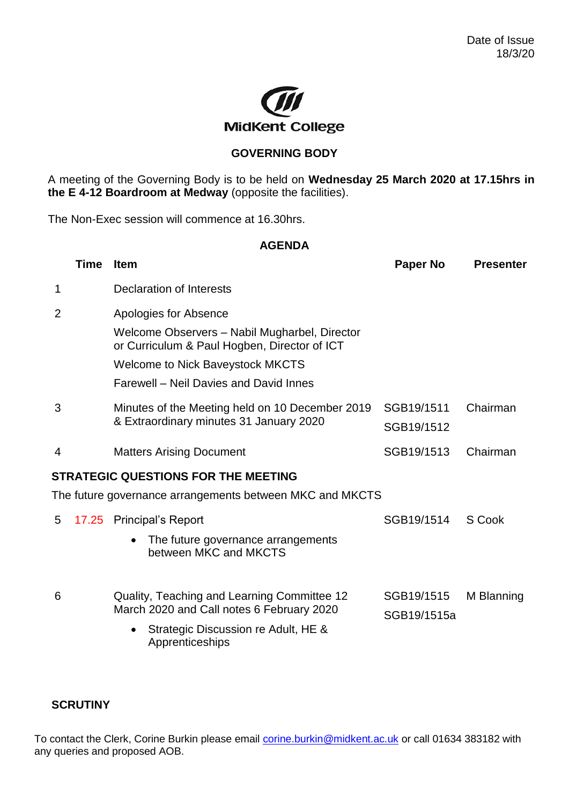

## **GOVERNING BODY**

A meeting of the Governing Body is to be held on **Wednesday 25 March 2020 at 17.15hrs in the E 4-12 Boardroom at Medway** (opposite the facilities).

The Non-Exec session will commence at 16.30hrs.

## **AGENDA**

|                | Time  | <b>Item</b>                                                                                   | <b>Paper No</b>           | <b>Presenter</b> |
|----------------|-------|-----------------------------------------------------------------------------------------------|---------------------------|------------------|
| 1              |       | Declaration of Interests                                                                      |                           |                  |
| 2              |       | Apologies for Absence                                                                         |                           |                  |
|                |       | Welcome Observers - Nabil Mugharbel, Director<br>or Curriculum & Paul Hogben, Director of ICT |                           |                  |
|                |       | <b>Welcome to Nick Baveystock MKCTS</b>                                                       |                           |                  |
|                |       | Farewell - Neil Davies and David Innes                                                        |                           |                  |
| 3              |       | Minutes of the Meeting held on 10 December 2019<br>& Extraordinary minutes 31 January 2020    | SGB19/1511<br>SGB19/1512  | Chairman         |
| $\overline{4}$ |       | <b>Matters Arising Document</b>                                                               | SGB19/1513                | Chairman         |
|                |       | <b>STRATEGIC QUESTIONS FOR THE MEETING</b>                                                    |                           |                  |
|                |       | The future governance arrangements between MKC and MKCTS                                      |                           |                  |
| 5              | 17.25 | <b>Principal's Report</b>                                                                     | SGB19/1514                | S Cook           |
|                |       | The future governance arrangements<br>between MKC and MKCTS                                   |                           |                  |
| 6              |       | Quality, Teaching and Learning Committee 12<br>March 2020 and Call notes 6 February 2020      | SGB19/1515<br>SGB19/1515a | M Blanning       |
|                |       | Strategic Discussion re Adult, HE &<br>Apprenticeships                                        |                           |                  |

## **SCRUTINY**

To contact the Clerk, Corine Burkin please email [corine.burkin@midkent.ac.uk](mailto:corine.burkin@midkent.ac.uk) or call 01634 383182 with any queries and proposed AOB.